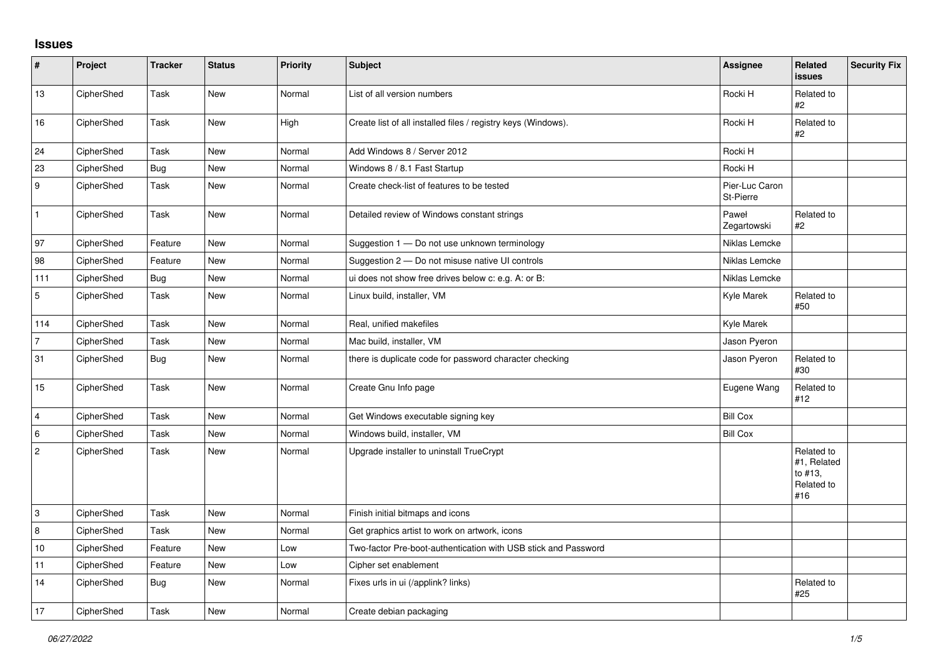## **Issues**

| $\vert$ #      | Project    | <b>Tracker</b> | <b>Status</b> | Priority | <b>Subject</b>                                                 | <b>Assignee</b>             | Related<br>issues                                         | <b>Security Fix</b> |
|----------------|------------|----------------|---------------|----------|----------------------------------------------------------------|-----------------------------|-----------------------------------------------------------|---------------------|
| 13             | CipherShed | Task           | <b>New</b>    | Normal   | List of all version numbers                                    | Rocki H                     | Related to<br>#2                                          |                     |
| 16             | CipherShed | Task           | <b>New</b>    | High     | Create list of all installed files / registry keys (Windows).  | Rocki H                     | Related to<br>#2                                          |                     |
| 24             | CipherShed | Task           | <b>New</b>    | Normal   | Add Windows 8 / Server 2012                                    | Rocki H                     |                                                           |                     |
| 23             | CipherShed | Bug            | <b>New</b>    | Normal   | Windows 8 / 8.1 Fast Startup                                   | Rocki H                     |                                                           |                     |
| <u>g</u>       | CipherShed | Task           | New           | Normal   | Create check-list of features to be tested                     | Pier-Luc Caron<br>St-Pierre |                                                           |                     |
| $\vert$ 1      | CipherShed | Task           | <b>New</b>    | Normal   | Detailed review of Windows constant strings                    | Paweł<br>Zegartowski        | Related to<br>#2                                          |                     |
| 97             | CipherShed | Feature        | New           | Normal   | Suggestion 1 - Do not use unknown terminology                  | Niklas Lemcke               |                                                           |                     |
| 98             | CipherShed | Feature        | <b>New</b>    | Normal   | Suggestion 2 - Do not misuse native UI controls                | Niklas Lemcke               |                                                           |                     |
| 111            | CipherShed | Bug            | New           | Normal   | ui does not show free drives below c: e.g. A: or B:            | Niklas Lemcke               |                                                           |                     |
| $\overline{5}$ | CipherShed | Task           | New           | Normal   | Linux build, installer, VM                                     | Kyle Marek                  | Related to<br>#50                                         |                     |
| 114            | CipherShed | Task           | <b>New</b>    | Normal   | Real, unified makefiles                                        | Kyle Marek                  |                                                           |                     |
| $\overline{7}$ | CipherShed | Task           | New           | Normal   | Mac build, installer, VM                                       | Jason Pyeron                |                                                           |                     |
| 31             | CipherShed | <b>Bug</b>     | New           | Normal   | there is duplicate code for password character checking        | Jason Pyeron                | Related to<br>#30                                         |                     |
| 15             | CipherShed | Task           | <b>New</b>    | Normal   | Create Gnu Info page                                           | Eugene Wang                 | Related to<br>#12                                         |                     |
| 4              | CipherShed | Task           | <b>New</b>    | Normal   | Get Windows executable signing key                             | <b>Bill Cox</b>             |                                                           |                     |
| 6              | CipherShed | Task           | <b>New</b>    | Normal   | Windows build, installer, VM                                   | <b>Bill Cox</b>             |                                                           |                     |
| $\overline{c}$ | CipherShed | Task           | New           | Normal   | Upgrade installer to uninstall TrueCrypt                       |                             | Related to<br>#1, Related<br>to #13,<br>Related to<br>#16 |                     |
| 3              | CipherShed | Task           | <b>New</b>    | Normal   | Finish initial bitmaps and icons                               |                             |                                                           |                     |
| $\overline{8}$ | CipherShed | Task           | <b>New</b>    | Normal   | Get graphics artist to work on artwork, icons                  |                             |                                                           |                     |
| 10             | CipherShed | Feature        | New           | Low      | Two-factor Pre-boot-authentication with USB stick and Password |                             |                                                           |                     |
| 11             | CipherShed | Feature        | <b>New</b>    | Low      | Cipher set enablement                                          |                             |                                                           |                     |
| 14             | CipherShed | Bug            | New           | Normal   | Fixes urls in ui (/applink? links)                             |                             | Related to<br>#25                                         |                     |
| 17             | CipherShed | Task           | New           | Normal   | Create debian packaging                                        |                             |                                                           |                     |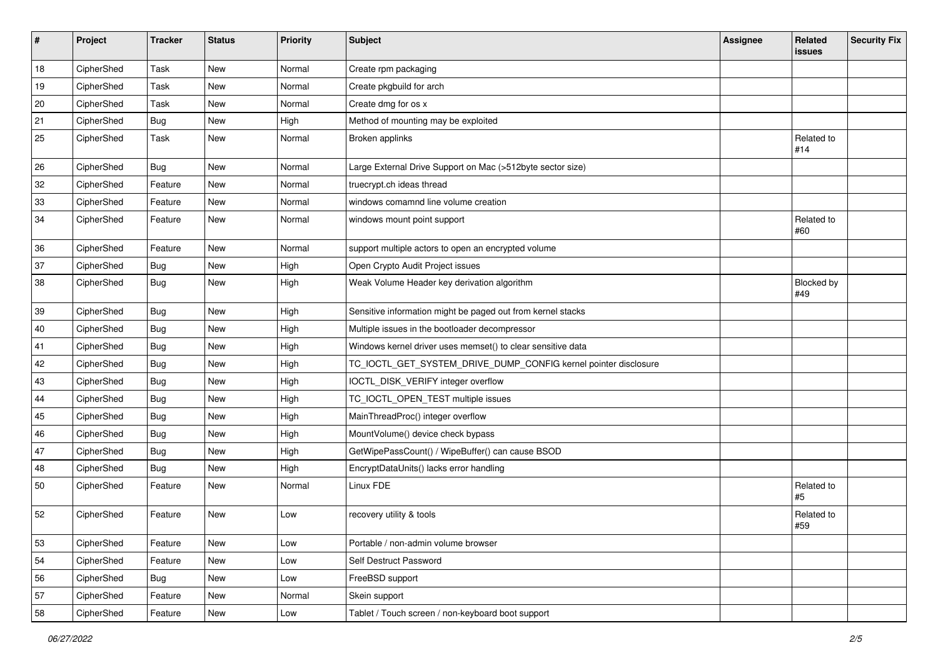| $\vert$ # | Project    | <b>Tracker</b> | <b>Status</b> | <b>Priority</b> | Subject                                                         | <b>Assignee</b> | Related<br>issues   | <b>Security Fix</b> |
|-----------|------------|----------------|---------------|-----------------|-----------------------------------------------------------------|-----------------|---------------------|---------------------|
| 18        | CipherShed | Task           | <b>New</b>    | Normal          | Create rpm packaging                                            |                 |                     |                     |
| 19        | CipherShed | Task           | New           | Normal          | Create pkgbuild for arch                                        |                 |                     |                     |
| 20        | CipherShed | Task           | <b>New</b>    | Normal          | Create dmg for os x                                             |                 |                     |                     |
| 21        | CipherShed | Bug            | New           | High            | Method of mounting may be exploited                             |                 |                     |                     |
| 25        | CipherShed | Task           | New           | Normal          | Broken applinks                                                 |                 | Related to<br>#14   |                     |
| 26        | CipherShed | <b>Bug</b>     | <b>New</b>    | Normal          | Large External Drive Support on Mac (>512byte sector size)      |                 |                     |                     |
| 32        | CipherShed | Feature        | New           | Normal          | truecrypt.ch ideas thread                                       |                 |                     |                     |
| 33        | CipherShed | Feature        | New           | Normal          | windows comamnd line volume creation                            |                 |                     |                     |
| 34        | CipherShed | Feature        | New           | Normal          | windows mount point support                                     |                 | Related to<br>#60   |                     |
| 36        | CipherShed | Feature        | New           | Normal          | support multiple actors to open an encrypted volume             |                 |                     |                     |
| 37        | CipherShed | Bug            | New           | High            | Open Crypto Audit Project issues                                |                 |                     |                     |
| 38        | CipherShed | Bug            | New           | High            | Weak Volume Header key derivation algorithm                     |                 | Blocked by<br>#49   |                     |
| 39        | CipherShed | <b>Bug</b>     | New           | High            | Sensitive information might be paged out from kernel stacks     |                 |                     |                     |
| 40        | CipherShed | <b>Bug</b>     | <b>New</b>    | High            | Multiple issues in the bootloader decompressor                  |                 |                     |                     |
| 41        | CipherShed | <b>Bug</b>     | New           | High            | Windows kernel driver uses memset() to clear sensitive data     |                 |                     |                     |
| 42        | CipherShed | Bug            | <b>New</b>    | High            | TC_IOCTL_GET_SYSTEM_DRIVE_DUMP_CONFIG kernel pointer disclosure |                 |                     |                     |
| 43        | CipherShed | Bug            | New           | High            | IOCTL_DISK_VERIFY integer overflow                              |                 |                     |                     |
| 44        | CipherShed | <b>Bug</b>     | <b>New</b>    | High            | TC_IOCTL_OPEN_TEST multiple issues                              |                 |                     |                     |
| 45        | CipherShed | <b>Bug</b>     | <b>New</b>    | High            | MainThreadProc() integer overflow                               |                 |                     |                     |
| 46        | CipherShed | <b>Bug</b>     | New           | High            | MountVolume() device check bypass                               |                 |                     |                     |
| 47        | CipherShed | Bug            | New           | High            | GetWipePassCount() / WipeBuffer() can cause BSOD                |                 |                     |                     |
| 48        | CipherShed | <b>Bug</b>     | New           | High            | EncryptDataUnits() lacks error handling                         |                 |                     |                     |
| 50        | CipherShed | Feature        | New           | Normal          | Linux FDE                                                       |                 | Related to<br>$\#5$ |                     |
| 52        | CipherShed | Feature        | New           | Low             | recovery utility & tools                                        |                 | Related to<br>#59   |                     |
| 53        | CipherShed | Feature        | New           | Low             | Portable / non-admin volume browser                             |                 |                     |                     |
| 54        | CipherShed | Feature        | New           | Low             | Self Destruct Password                                          |                 |                     |                     |
| 56        | CipherShed | <b>Bug</b>     | New           | Low             | FreeBSD support                                                 |                 |                     |                     |
| 57        | CipherShed | Feature        | New           | Normal          | Skein support                                                   |                 |                     |                     |
| 58        | CipherShed | Feature        | New           | Low             | Tablet / Touch screen / non-keyboard boot support               |                 |                     |                     |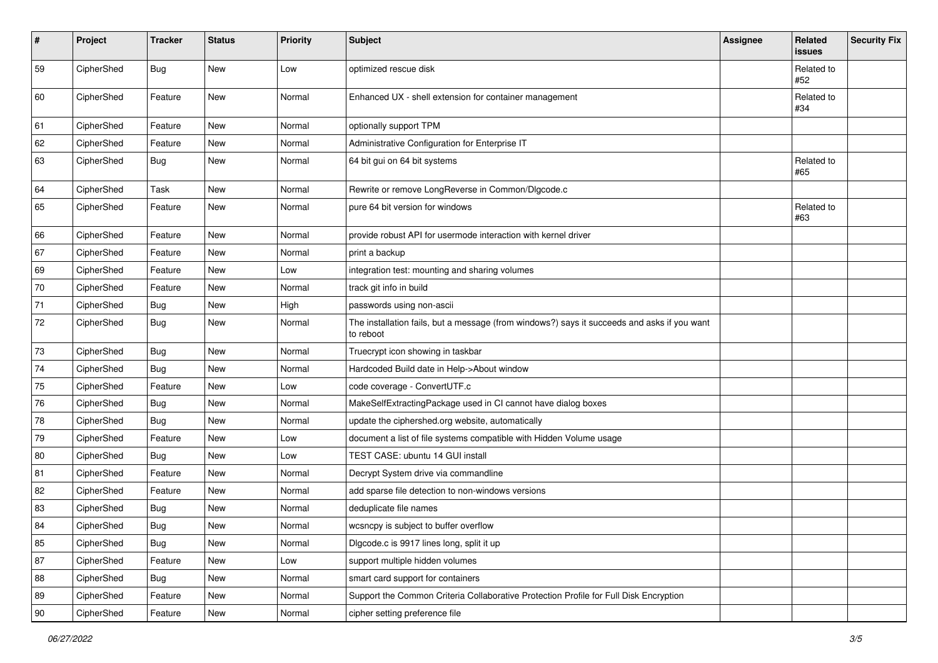| #            | Project    | <b>Tracker</b> | <b>Status</b> | Priority | <b>Subject</b>                                                                                           | <b>Assignee</b> | Related<br>issues | <b>Security Fix</b> |
|--------------|------------|----------------|---------------|----------|----------------------------------------------------------------------------------------------------------|-----------------|-------------------|---------------------|
| 59           | CipherShed | Bug            | New           | Low      | optimized rescue disk                                                                                    |                 | Related to<br>#52 |                     |
| 60           | CipherShed | Feature        | New           | Normal   | Enhanced UX - shell extension for container management                                                   |                 | Related to<br>#34 |                     |
| 61           | CipherShed | Feature        | New           | Normal   | optionally support TPM                                                                                   |                 |                   |                     |
| 62           | CipherShed | Feature        | <b>New</b>    | Normal   | Administrative Configuration for Enterprise IT                                                           |                 |                   |                     |
| 63           | CipherShed | <b>Bug</b>     | New           | Normal   | 64 bit gui on 64 bit systems                                                                             |                 | Related to<br>#65 |                     |
| 64           | CipherShed | Task           | <b>New</b>    | Normal   | Rewrite or remove LongReverse in Common/Dlgcode.c                                                        |                 |                   |                     |
| 65           | CipherShed | Feature        | <b>New</b>    | Normal   | pure 64 bit version for windows                                                                          |                 | Related to<br>#63 |                     |
| 66           | CipherShed | Feature        | <b>New</b>    | Normal   | provide robust API for usermode interaction with kernel driver                                           |                 |                   |                     |
| 67           | CipherShed | Feature        | New           | Normal   | print a backup                                                                                           |                 |                   |                     |
| 69           | CipherShed | Feature        | <b>New</b>    | Low      | integration test: mounting and sharing volumes                                                           |                 |                   |                     |
| 70           | CipherShed | Feature        | New           | Normal   | track git info in build                                                                                  |                 |                   |                     |
| 71           | CipherShed | <b>Bug</b>     | New           | High     | passwords using non-ascii                                                                                |                 |                   |                     |
| 72           | CipherShed | <b>Bug</b>     | New           | Normal   | The installation fails, but a message (from windows?) says it succeeds and asks if you want<br>to reboot |                 |                   |                     |
| 73           | CipherShed | Bug            | New           | Normal   | Truecrypt icon showing in taskbar                                                                        |                 |                   |                     |
| 74           | CipherShed | Bug            | New           | Normal   | Hardcoded Build date in Help->About window                                                               |                 |                   |                     |
| 75           | CipherShed | Feature        | New           | Low      | code coverage - ConvertUTF.c                                                                             |                 |                   |                     |
| 76           | CipherShed | <b>Bug</b>     | New           | Normal   | MakeSelfExtractingPackage used in CI cannot have dialog boxes                                            |                 |                   |                     |
| 78           | CipherShed | <b>Bug</b>     | New           | Normal   | update the ciphershed.org website, automatically                                                         |                 |                   |                     |
| 79           | CipherShed | Feature        | New           | Low      | document a list of file systems compatible with Hidden Volume usage                                      |                 |                   |                     |
| 80           | CipherShed | <b>Bug</b>     | <b>New</b>    | Low      | TEST CASE: ubuntu 14 GUI install                                                                         |                 |                   |                     |
| 81           | CipherShed | Feature        | New           | Normal   | Decrypt System drive via commandline                                                                     |                 |                   |                     |
| 82           | CipherShed | Feature        | New           | Normal   | add sparse file detection to non-windows versions                                                        |                 |                   |                     |
| 83           | CipherShed | <b>Bug</b>     | New           | Normal   | deduplicate file names                                                                                   |                 |                   |                     |
| 84           | CipherShed | Bug            | New           | Normal   | wcsncpy is subject to buffer overflow                                                                    |                 |                   |                     |
| 85           | CipherShed | <b>Bug</b>     | New           | Normal   | Digcode.c is 9917 lines long, split it up                                                                |                 |                   |                     |
| 87           | CipherShed | Feature        | New           | Low      | support multiple hidden volumes                                                                          |                 |                   |                     |
| 88           | CipherShed | <b>Bug</b>     | New           | Normal   | smart card support for containers                                                                        |                 |                   |                     |
| 89           | CipherShed | Feature        | New           | Normal   | Support the Common Criteria Collaborative Protection Profile for Full Disk Encryption                    |                 |                   |                     |
| $ 90\rangle$ | CipherShed | Feature        | New           | Normal   | cipher setting preference file                                                                           |                 |                   |                     |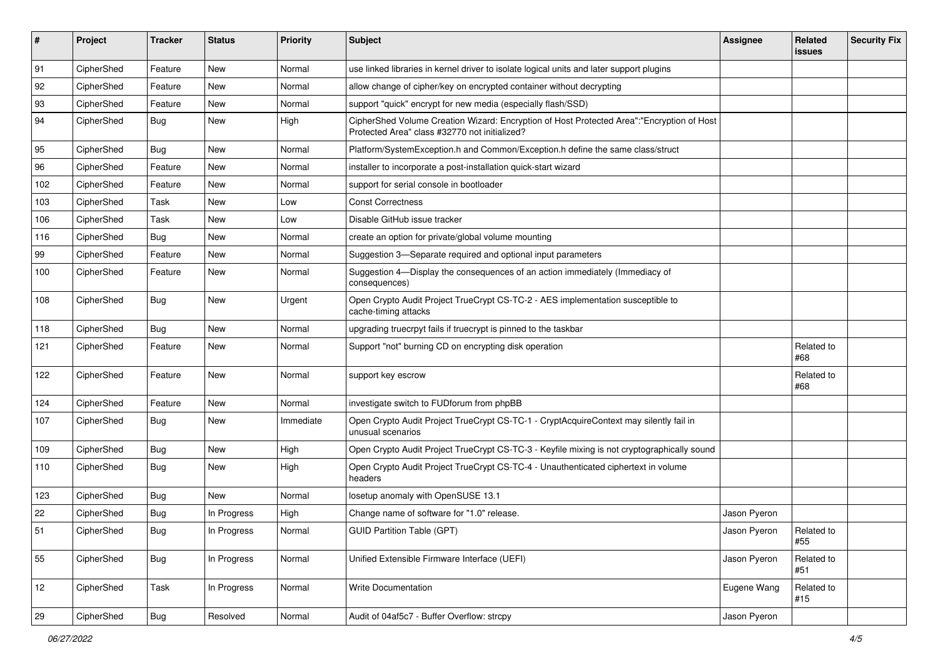| #   | Project    | <b>Tracker</b> | <b>Status</b> | Priority  | <b>Subject</b>                                                                                                                             | <b>Assignee</b> | <b>Related</b><br><b>issues</b> | <b>Security Fix</b> |
|-----|------------|----------------|---------------|-----------|--------------------------------------------------------------------------------------------------------------------------------------------|-----------------|---------------------------------|---------------------|
| 91  | CipherShed | Feature        | New           | Normal    | use linked libraries in kernel driver to isolate logical units and later support plugins                                                   |                 |                                 |                     |
| 92  | CipherShed | Feature        | New           | Normal    | allow change of cipher/key on encrypted container without decrypting                                                                       |                 |                                 |                     |
| 93  | CipherShed | Feature        | New           | Normal    | support "quick" encrypt for new media (especially flash/SSD)                                                                               |                 |                                 |                     |
| 94  | CipherShed | <b>Bug</b>     | New           | High      | CipherShed Volume Creation Wizard: Encryption of Host Protected Area":"Encryption of Host<br>Protected Area" class #32770 not initialized? |                 |                                 |                     |
| 95  | CipherShed | <b>Bug</b>     | New           | Normal    | Platform/SystemException.h and Common/Exception.h define the same class/struct                                                             |                 |                                 |                     |
| 96  | CipherShed | Feature        | New           | Normal    | installer to incorporate a post-installation quick-start wizard                                                                            |                 |                                 |                     |
| 102 | CipherShed | Feature        | New           | Normal    | support for serial console in bootloader                                                                                                   |                 |                                 |                     |
| 103 | CipherShed | Task           | <b>New</b>    | Low       | <b>Const Correctness</b>                                                                                                                   |                 |                                 |                     |
| 106 | CipherShed | Task           | New           | Low       | Disable GitHub issue tracker                                                                                                               |                 |                                 |                     |
| 116 | CipherShed | <b>Bug</b>     | New           | Normal    | create an option for private/global volume mounting                                                                                        |                 |                                 |                     |
| 99  | CipherShed | Feature        | New           | Normal    | Suggestion 3-Separate required and optional input parameters                                                                               |                 |                                 |                     |
| 100 | CipherShed | Feature        | New           | Normal    | Suggestion 4-Display the consequences of an action immediately (Immediacy of<br>consequences)                                              |                 |                                 |                     |
| 108 | CipherShed | Bug            | New           | Urgent    | Open Crypto Audit Project TrueCrypt CS-TC-2 - AES implementation susceptible to<br>cache-timing attacks                                    |                 |                                 |                     |
| 118 | CipherShed | Bug            | <b>New</b>    | Normal    | upgrading truecrpyt fails if truecrypt is pinned to the taskbar                                                                            |                 |                                 |                     |
| 121 | CipherShed | Feature        | New           | Normal    | Support "not" burning CD on encrypting disk operation                                                                                      |                 | Related to<br>#68               |                     |
| 122 | CipherShed | Feature        | New           | Normal    | support key escrow                                                                                                                         |                 | Related to<br>#68               |                     |
| 124 | CipherShed | Feature        | New           | Normal    | investigate switch to FUDforum from phpBB                                                                                                  |                 |                                 |                     |
| 107 | CipherShed | <b>Bug</b>     | New           | Immediate | Open Crypto Audit Project TrueCrypt CS-TC-1 - CryptAcquireContext may silently fail in<br>unusual scenarios                                |                 |                                 |                     |
| 109 | CipherShed | <b>Bug</b>     | <b>New</b>    | High      | Open Crypto Audit Project TrueCrypt CS-TC-3 - Keyfile mixing is not cryptographically sound                                                |                 |                                 |                     |
| 110 | CipherShed | <b>Bug</b>     | New           | High      | Open Crypto Audit Project TrueCrypt CS-TC-4 - Unauthenticated ciphertext in volume<br>headers                                              |                 |                                 |                     |
| 123 | CipherShed | <b>Bug</b>     | <b>New</b>    | Normal    | losetup anomaly with OpenSUSE 13.1                                                                                                         |                 |                                 |                     |
| 22  | CipherShed | Bug            | In Progress   | High      | Change name of software for "1.0" release.                                                                                                 | Jason Pyeron    |                                 |                     |
| 51  | CipherShed | Bug            | In Progress   | Normal    | <b>GUID Partition Table (GPT)</b>                                                                                                          | Jason Pyeron    | Related to<br>#55               |                     |
| 55  | CipherShed | Bug            | In Progress   | Normal    | Unified Extensible Firmware Interface (UEFI)                                                                                               | Jason Pyeron    | Related to<br>#51               |                     |
| 12  | CipherShed | Task           | In Progress   | Normal    | Write Documentation                                                                                                                        | Eugene Wang     | Related to<br>#15               |                     |
| 29  | CipherShed | Bug            | Resolved      | Normal    | Audit of 04af5c7 - Buffer Overflow: strcpy                                                                                                 | Jason Pyeron    |                                 |                     |